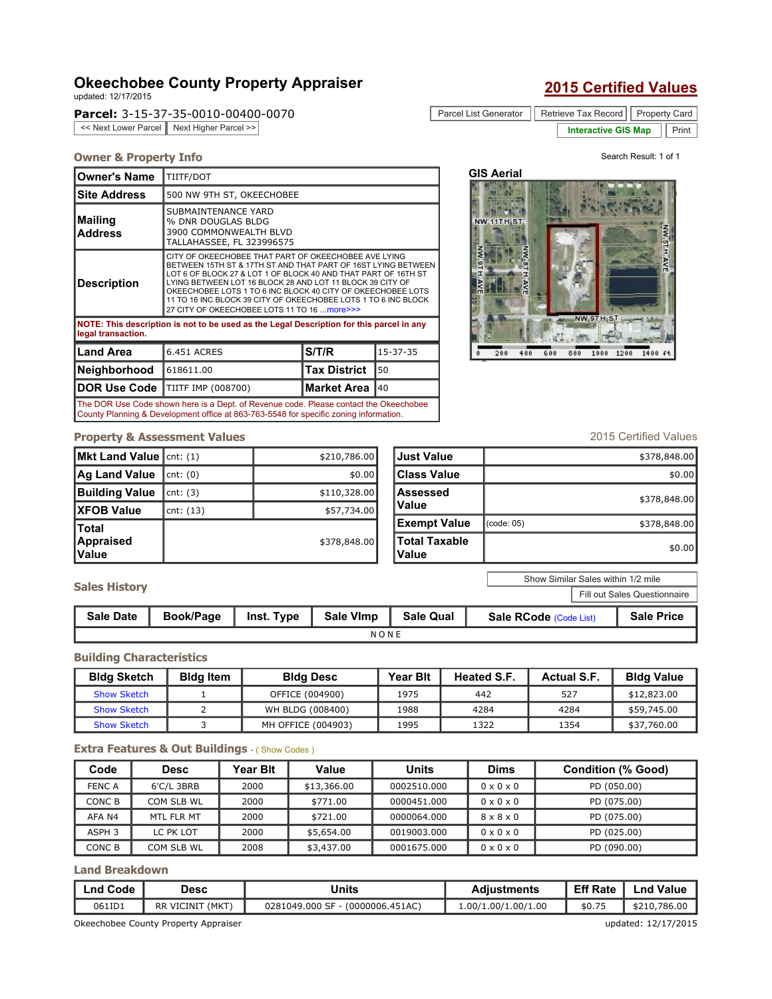# Okeechobee County Property Appraiser updated: 12/17/2015

Parcel: 3-15-37-35-0010-00400-0070

<< Next Lower Parcel | Next Higher Parcel >>

| <b>2015 Certified Values</b> |  |
|------------------------------|--|
|                              |  |

| Parcel List Generator   Retrieve Tax Record   Property Card |                           |  |  |
|-------------------------------------------------------------|---------------------------|--|--|
|                                                             | Interactive GIS Map Frint |  |  |

#### **Owner & Property Info Search Result: 1 of 1** of 1

| <b>Owner's Name</b>                                                                                            | TIITF/DOT                                                                                                                                                                                                                                                                                                                                                                                                                             |                     |                |  |  |  |
|----------------------------------------------------------------------------------------------------------------|---------------------------------------------------------------------------------------------------------------------------------------------------------------------------------------------------------------------------------------------------------------------------------------------------------------------------------------------------------------------------------------------------------------------------------------|---------------------|----------------|--|--|--|
| <b>Site Address</b>                                                                                            | 500 NW 9TH ST, OKEECHOBEE                                                                                                                                                                                                                                                                                                                                                                                                             |                     |                |  |  |  |
| <b>Mailing</b><br><b>Address</b>                                                                               | SUBMAINTENANCE YARD<br>% DNR DOUGLAS BLDG<br>3900 COMMONWEALTH BLVD<br>TALLAHASSEE, FL 323996575                                                                                                                                                                                                                                                                                                                                      |                     |                |  |  |  |
| <b>Description</b>                                                                                             | CITY OF OKEECHOBEE THAT PART OF OKEECHOBEE AVE LYING<br>BETWEEN 15TH ST & 17TH ST AND THAT PART OF 16ST LYING BETWEEN<br>LOT 6 OF BLOCK 27 & LOT 1 OF BLOCK 40 AND THAT PART OF 16TH ST<br>LYING BETWEEN LOT 16 BLOCK 28 AND LOT 11 BLOCK 39 CITY OF<br>OKEECHOBEE LOTS 1 TO 6 INC BLOCK 40 CITY OF OKEECHOBEE LOTS<br>11 TO 16 INC BLOCK 39 CITY OF OKEECHOBEE LOTS 1 TO 6 INC BLOCK<br>27 CITY OF OKEECHOBEE LOTS 11 TO 16  more>>> |                     |                |  |  |  |
| NOTE: This description is not to be used as the Legal Description for this parcel in any<br>legal transaction. |                                                                                                                                                                                                                                                                                                                                                                                                                                       |                     |                |  |  |  |
| <b>Land Area</b>                                                                                               | <b>6.451 ACRES</b>                                                                                                                                                                                                                                                                                                                                                                                                                    | S/T/R               | $15 - 37 - 35$ |  |  |  |
| <b>Neighborhood</b>                                                                                            | 618611.00                                                                                                                                                                                                                                                                                                                                                                                                                             | <b>Tax District</b> | 50             |  |  |  |
| <b>DOR Use Code</b>                                                                                            | TIITF IMP (008700)                                                                                                                                                                                                                                                                                                                                                                                                                    | <b>Market Area</b>  | 40             |  |  |  |

The DOR Use Code shown here is a Dept. of Revenue code. Please contact the Okeechobee County Planning & Development office at 863-763-5548 for specific zoning information.

# GIS Aerial



## **Property & Assessment Values** 2015 Certified Values

| Mkt Land Value   cnt: (1)           |             | \$210,786.00 |
|-------------------------------------|-------------|--------------|
| Ag Land Value                       | cnt: (0)    | \$0.00       |
| <b>Building Value</b>               | cnt: (3)    | \$110,328.00 |
| <b>XFOB Value</b>                   | cnt: $(13)$ | \$57,734.00  |
| lTotal<br>Appraised<br><b>Value</b> |             | \$378,848.00 |

| <b>IJust Value</b>     |            | \$378,848.00 |
|------------------------|------------|--------------|
| Class Value            |            | \$0.00       |
| Assessed<br>Value      |            | \$378,848.00 |
| <b>Exempt Value</b>    | (code: 05) | \$378,848.00 |
| Total Taxable<br>Value |            | \$0.00       |

Show Similar Sales within 1/2 mile

Fill out Sales Questionnaire

| <b>Sales History</b> |  |
|----------------------|--|
|----------------------|--|

| <b>Sale Date</b> | Book/Page | Inst. Type | Sale Vimp | <b>Sale Qual</b> | Sale RCode (Code List) | <b>Sale Price</b> |  |
|------------------|-----------|------------|-----------|------------------|------------------------|-------------------|--|
| NONE             |           |            |           |                  |                        |                   |  |

#### Building Characteristics

| <b>Bldg Sketch</b> | <b>Bidg Item</b> | <b>Bldg Desc</b>   | <b>Year Bit</b> | <b>Heated S.F.</b> | <b>Actual S.F.</b> | <b>Bldg Value</b> |
|--------------------|------------------|--------------------|-----------------|--------------------|--------------------|-------------------|
| <b>Show Sketch</b> |                  | OFFICE (004900)    | 1975            | 442                | 527                | \$12,823,00       |
| Show Sketch        |                  | WH BLDG (008400)   | 1988            | 4284               | 4284               | \$59,745.00       |
| <b>Show Sketch</b> |                  | MH OFFICE (004903) | 1995            | L322               | 1354               | \$37,760.00       |

### Extra Features & Out Buildings - (Show Codes)

| Code          | <b>Desc</b> | Year Blt | Value       | Units       | <b>Dims</b>           | <b>Condition (% Good)</b> |
|---------------|-------------|----------|-------------|-------------|-----------------------|---------------------------|
| <b>FENC A</b> | 6'C/L 3BRB  | 2000     | \$13,366.00 | 0002510.000 | $0 \times 0 \times 0$ | PD (050.00)               |
| CONC B        | COM SLB WL  | 2000     | \$771.00    | 0000451.000 | $0 \times 0 \times 0$ | PD (075.00)               |
| AFA N4        | MTL FLR MT  | 2000     | \$721.00    | 0000064.000 | $8 \times 8 \times 0$ | PD (075.00)               |
| ASPH 3        | LC PK LOT   | 2000     | \$5,654,00  | 0019003.000 | $0 \times 0 \times 0$ | PD (025.00)               |
| CONC B        | COM SLB WL  | 2008     | \$3,437.00  | 0001675.000 | $0 \times 0 \times 0$ | PD (090.00)               |

Land Breakdown

| Lnd Code | Desc                                                        | Units                            | <b>Adiustments</b>  | <b>Eff Rate</b> | <b>Lnd Value</b> |
|----------|-------------------------------------------------------------|----------------------------------|---------------------|-----------------|------------------|
| 061ID1   | RR VICINIT (MKT)                                            | 0281049.000 SF - (0000006.451AC) | 1.00/1.00/1.00/1.00 | \$0.75          | \$210,786.00     |
|          | updated: 12/17/2015<br>Okeechobee County Property Appraiser |                                  |                     |                 |                  |